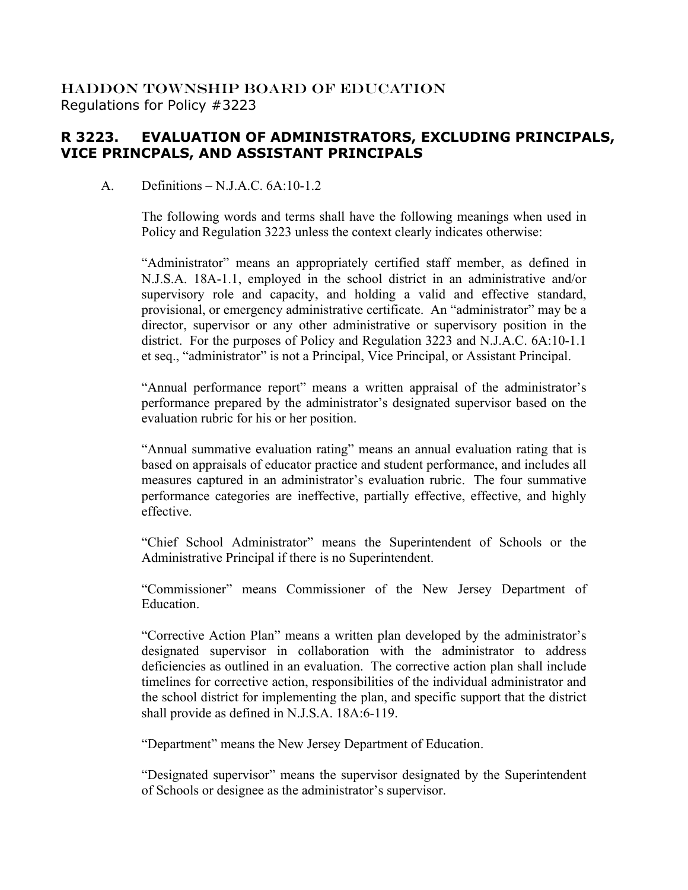## HADDON TOWNSHIP BOARD OF EDUCATION Regulations for Policy #3223

## **R 3223. EVALUATION OF ADMINISTRATORS, EXCLUDING PRINCIPALS, VICE PRINCPALS, AND ASSISTANT PRINCIPALS**

## A. Definitions – N.J.A.C. 6A:10-1.2

The following words and terms shall have the following meanings when used in Policy and Regulation 3223 unless the context clearly indicates otherwise:

"Administrator" means an appropriately certified staff member, as defined in N.J.S.A. 18A-1.1, employed in the school district in an administrative and/or supervisory role and capacity, and holding a valid and effective standard, provisional, or emergency administrative certificate. An "administrator" may be a director, supervisor or any other administrative or supervisory position in the district. For the purposes of Policy and Regulation 3223 and N.J.A.C. 6A:10-1.1 et seq., "administrator" is not a Principal, Vice Principal, or Assistant Principal.

"Annual performance report" means a written appraisal of the administrator's performance prepared by the administrator's designated supervisor based on the evaluation rubric for his or her position.

"Annual summative evaluation rating" means an annual evaluation rating that is based on appraisals of educator practice and student performance, and includes all measures captured in an administrator's evaluation rubric. The four summative performance categories are ineffective, partially effective, effective, and highly effective.

"Chief School Administrator" means the Superintendent of Schools or the Administrative Principal if there is no Superintendent.

"Commissioner" means Commissioner of the New Jersey Department of Education.

"Corrective Action Plan" means a written plan developed by the administrator's designated supervisor in collaboration with the administrator to address deficiencies as outlined in an evaluation. The corrective action plan shall include timelines for corrective action, responsibilities of the individual administrator and the school district for implementing the plan, and specific support that the district shall provide as defined in N.J.S.A. 18A:6-119.

"Department" means the New Jersey Department of Education.

"Designated supervisor" means the supervisor designated by the Superintendent of Schools or designee as the administrator's supervisor.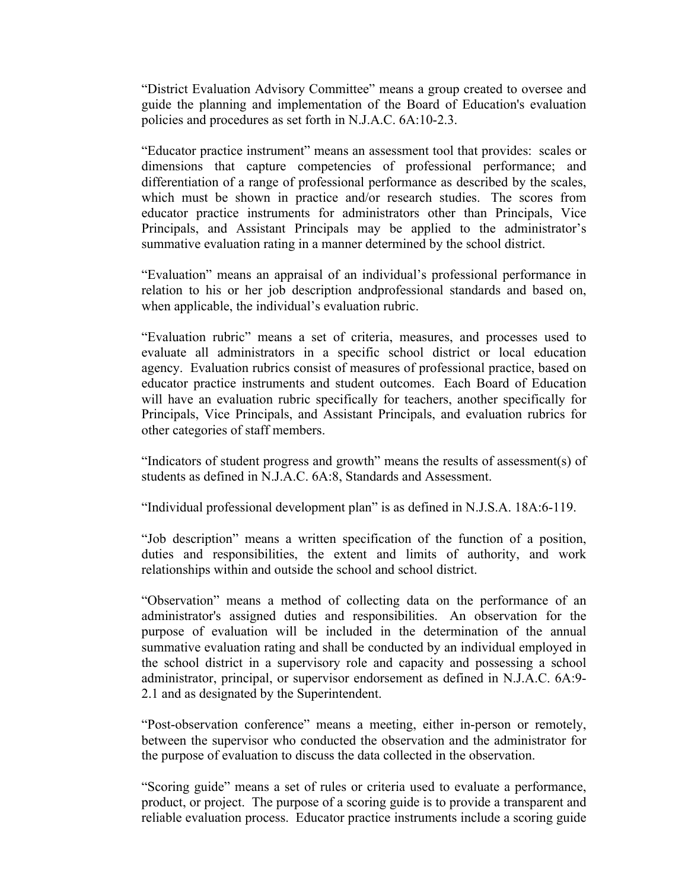"District Evaluation Advisory Committee" means a group created to oversee and guide the planning and implementation of the Board of Education's evaluation policies and procedures as set forth in N.J.A.C. 6A:10-2.3.

"Educator practice instrument" means an assessment tool that provides: scales or dimensions that capture competencies of professional performance; and differentiation of a range of professional performance as described by the scales, which must be shown in practice and/or research studies. The scores from educator practice instruments for administrators other than Principals, Vice Principals, and Assistant Principals may be applied to the administrator's summative evaluation rating in a manner determined by the school district.

"Evaluation" means an appraisal of an individual's professional performance in relation to his or her job description andprofessional standards and based on, when applicable, the individual's evaluation rubric.

"Evaluation rubric" means a set of criteria, measures, and processes used to evaluate all administrators in a specific school district or local education agency. Evaluation rubrics consist of measures of professional practice, based on educator practice instruments and student outcomes. Each Board of Education will have an evaluation rubric specifically for teachers, another specifically for Principals, Vice Principals, and Assistant Principals, and evaluation rubrics for other categories of staff members.

"Indicators of student progress and growth" means the results of assessment(s) of students as defined in N.J.A.C. 6A:8, Standards and Assessment.

"Individual professional development plan" is as defined in N.J.S.A. 18A:6-119.

"Job description" means a written specification of the function of a position, duties and responsibilities, the extent and limits of authority, and work relationships within and outside the school and school district.

"Observation" means a method of collecting data on the performance of an administrator's assigned duties and responsibilities. An observation for the purpose of evaluation will be included in the determination of the annual summative evaluation rating and shall be conducted by an individual employed in the school district in a supervisory role and capacity and possessing a school administrator, principal, or supervisor endorsement as defined in N.J.A.C. 6A:9- 2.1 and as designated by the Superintendent.

"Post-observation conference" means a meeting, either in-person or remotely, between the supervisor who conducted the observation and the administrator for the purpose of evaluation to discuss the data collected in the observation.

"Scoring guide" means a set of rules or criteria used to evaluate a performance, product, or project. The purpose of a scoring guide is to provide a transparent and reliable evaluation process. Educator practice instruments include a scoring guide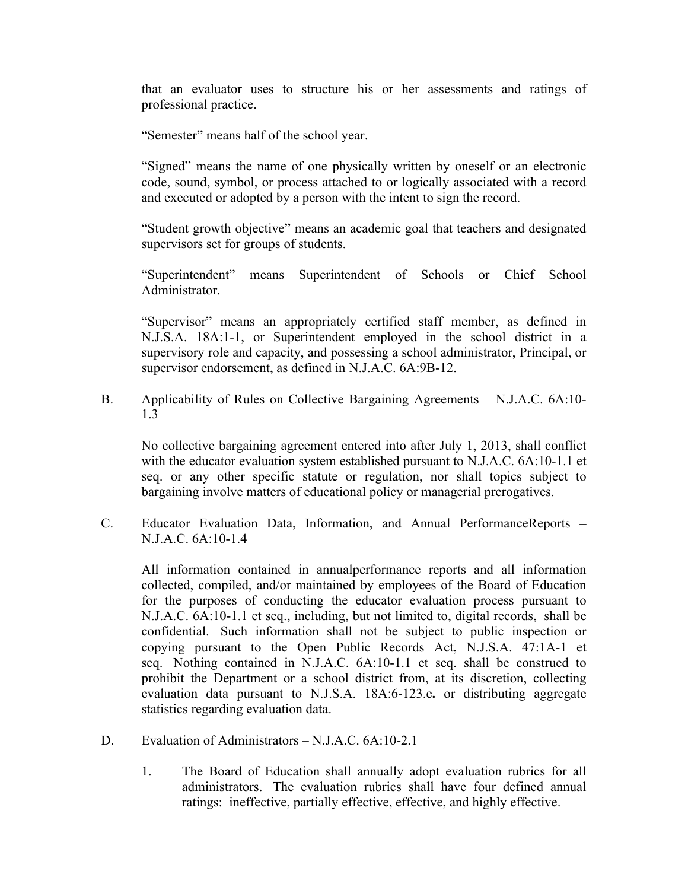that an evaluator uses to structure his or her assessments and ratings of professional practice.

"Semester" means half of the school year.

"Signed" means the name of one physically written by oneself or an electronic code, sound, symbol, or process attached to or logically associated with a record and executed or adopted by a person with the intent to sign the record.

"Student growth objective" means an academic goal that teachers and designated supervisors set for groups of students.

"Superintendent" means Superintendent of Schools or Chief School Administrator.

"Supervisor" means an appropriately certified staff member, as defined in N.J.S.A. 18A:1-1, or Superintendent employed in the school district in a supervisory role and capacity, and possessing a school administrator, Principal, or supervisor endorsement, as defined in N.J.A.C. 6A:9B-12.

B. Applicability of Rules on Collective Bargaining Agreements – N.J.A.C. 6A:10- 1.3

No collective bargaining agreement entered into after July 1, 2013, shall conflict with the educator evaluation system established pursuant to N.J.A.C. 6A:10-1.1 et seq. or any other specific statute or regulation, nor shall topics subject to bargaining involve matters of educational policy or managerial prerogatives.

C. Educator Evaluation Data, Information, and Annual PerformanceReports – N.J.A.C. 6A:10-1.4

All information contained in annualperformance reports and all information collected, compiled, and/or maintained by employees of the Board of Education for the purposes of conducting the educator evaluation process pursuant to N.J.A.C. 6A:10-1.1 et seq., including, but not limited to, digital records, shall be confidential. Such information shall not be subject to public inspection or copying pursuant to the Open Public Records Act, N.J.S.A. 47:1A-1 et seq. Nothing contained in N.J.A.C. 6A:10-1.1 et seq. shall be construed to prohibit the Department or a school district from, at its discretion, collecting evaluation data pursuant to N.J.S.A. 18A:6-123.e**.** or distributing aggregate statistics regarding evaluation data.

- D. Evaluation of Administrators N.J.A.C. 6A:10-2.1
	- 1. The Board of Education shall annually adopt evaluation rubrics for all administrators. The evaluation rubrics shall have four defined annual ratings: ineffective, partially effective, effective, and highly effective.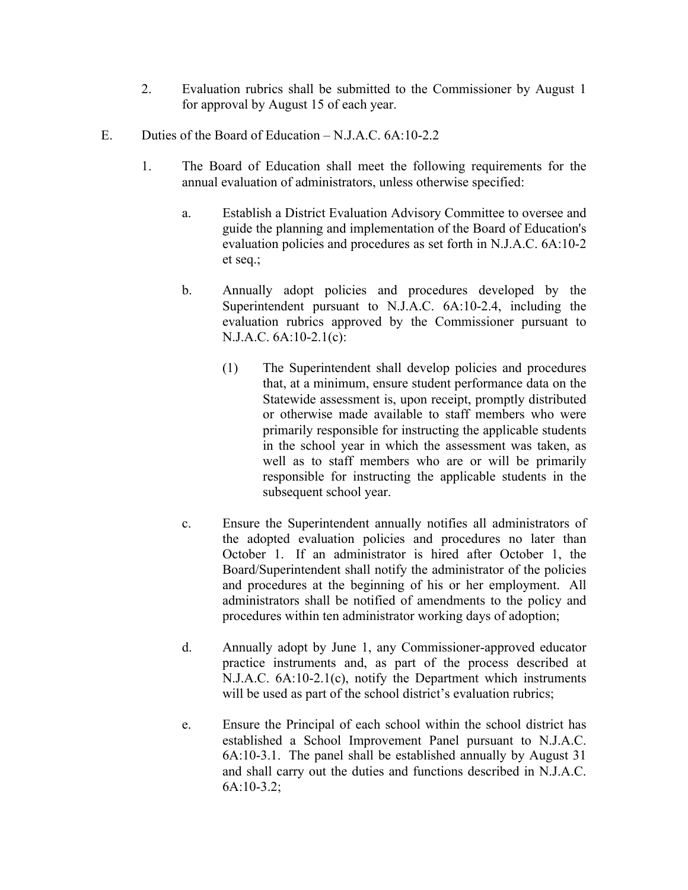- 2. Evaluation rubrics shall be submitted to the Commissioner by August 1 for approval by August 15 of each year.
- E. Duties of the Board of Education N.J.A.C. 6A:10-2.2
	- 1. The Board of Education shall meet the following requirements for the annual evaluation of administrators, unless otherwise specified:
		- a. Establish a District Evaluation Advisory Committee to oversee and guide the planning and implementation of the Board of Education's evaluation policies and procedures as set forth in N.J.A.C. 6A:10-2 et seq.;
		- b. Annually adopt policies and procedures developed by the Superintendent pursuant to N.J.A.C. 6A:10-2.4, including the evaluation rubrics approved by the Commissioner pursuant to N.J.A.C. 6A:10-2.1(c):
			- (1) The Superintendent shall develop policies and procedures that, at a minimum, ensure student performance data on the Statewide assessment is, upon receipt, promptly distributed or otherwise made available to staff members who were primarily responsible for instructing the applicable students in the school year in which the assessment was taken, as well as to staff members who are or will be primarily responsible for instructing the applicable students in the subsequent school year.
		- c. Ensure the Superintendent annually notifies all administrators of the adopted evaluation policies and procedures no later than October 1. If an administrator is hired after October 1, the Board/Superintendent shall notify the administrator of the policies and procedures at the beginning of his or her employment. All administrators shall be notified of amendments to the policy and procedures within ten administrator working days of adoption;
		- d. Annually adopt by June 1, any Commissioner-approved educator practice instruments and, as part of the process described at N.J.A.C. 6A:10-2.1(c), notify the Department which instruments will be used as part of the school district's evaluation rubrics;
		- e. Ensure the Principal of each school within the school district has established a School Improvement Panel pursuant to N.J.A.C. 6A:10-3.1. The panel shall be established annually by August 31 and shall carry out the duties and functions described in N.J.A.C. 6A:10-3.2;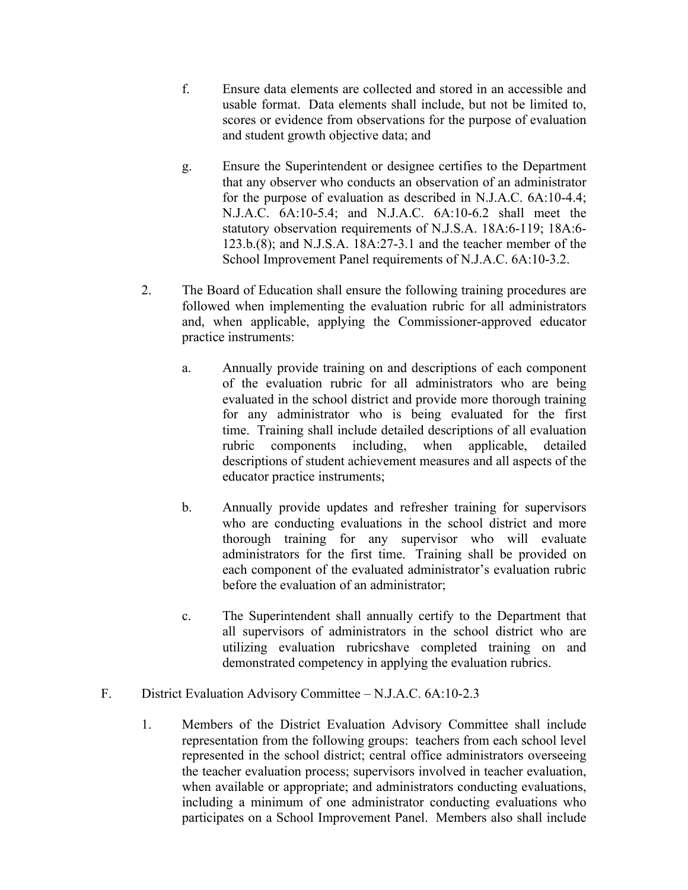- f. Ensure data elements are collected and stored in an accessible and usable format. Data elements shall include, but not be limited to, scores or evidence from observations for the purpose of evaluation and student growth objective data; and
- g. Ensure the Superintendent or designee certifies to the Department that any observer who conducts an observation of an administrator for the purpose of evaluation as described in N.J.A.C. 6A:10-4.4; N.J.A.C. 6A:10-5.4; and N.J.A.C. 6A:10-6.2 shall meet the statutory observation requirements of N.J.S.A. 18A:6-119; 18A:6- 123.b.(8); and N.J.S.A. 18A:27-3.1 and the teacher member of the School Improvement Panel requirements of N.J.A.C. 6A:10-3.2.
- 2. The Board of Education shall ensure the following training procedures are followed when implementing the evaluation rubric for all administrators and, when applicable, applying the Commissioner-approved educator practice instruments:
	- a. Annually provide training on and descriptions of each component of the evaluation rubric for all administrators who are being evaluated in the school district and provide more thorough training for any administrator who is being evaluated for the first time. Training shall include detailed descriptions of all evaluation rubric components including, when applicable, detailed descriptions of student achievement measures and all aspects of the educator practice instruments;
	- b. Annually provide updates and refresher training for supervisors who are conducting evaluations in the school district and more thorough training for any supervisor who will evaluate administrators for the first time. Training shall be provided on each component of the evaluated administrator's evaluation rubric before the evaluation of an administrator;
	- c. The Superintendent shall annually certify to the Department that all supervisors of administrators in the school district who are utilizing evaluation rubricshave completed training on and demonstrated competency in applying the evaluation rubrics.
- F. District Evaluation Advisory Committee N.J.A.C. 6A:10-2.3
	- 1. Members of the District Evaluation Advisory Committee shall include representation from the following groups: teachers from each school level represented in the school district; central office administrators overseeing the teacher evaluation process; supervisors involved in teacher evaluation, when available or appropriate; and administrators conducting evaluations, including a minimum of one administrator conducting evaluations who participates on a School Improvement Panel. Members also shall include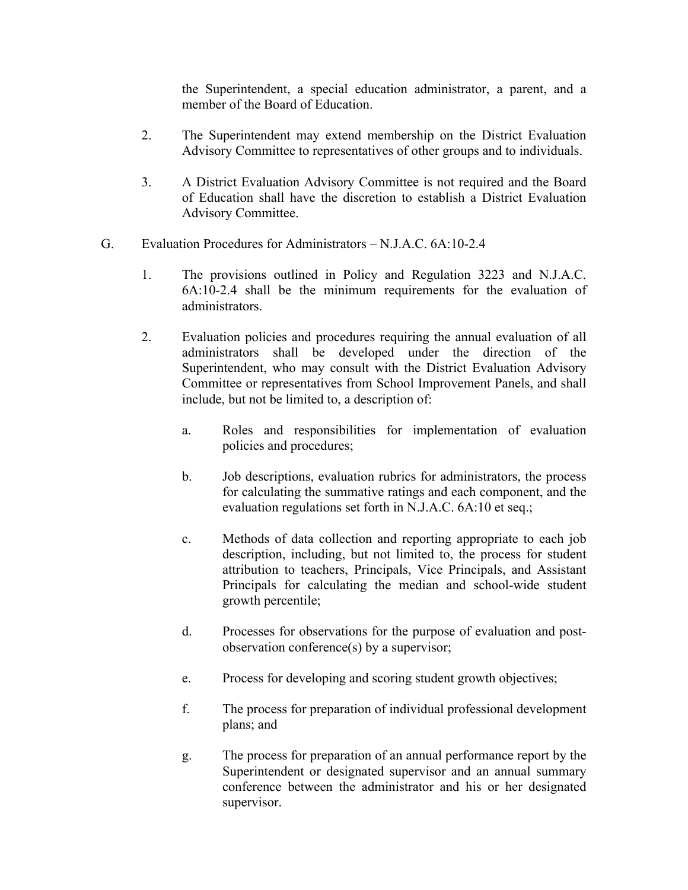the Superintendent, a special education administrator, a parent, and a member of the Board of Education.

- 2. The Superintendent may extend membership on the District Evaluation Advisory Committee to representatives of other groups and to individuals.
- 3. A District Evaluation Advisory Committee is not required and the Board of Education shall have the discretion to establish a District Evaluation Advisory Committee.
- G. Evaluation Procedures for Administrators N.J.A.C. 6A:10-2.4
	- 1. The provisions outlined in Policy and Regulation 3223 and N.J.A.C. 6A:10-2.4 shall be the minimum requirements for the evaluation of administrators.
	- 2. Evaluation policies and procedures requiring the annual evaluation of all administrators shall be developed under the direction of the Superintendent, who may consult with the District Evaluation Advisory Committee or representatives from School Improvement Panels, and shall include, but not be limited to, a description of:
		- a. Roles and responsibilities for implementation of evaluation policies and procedures;
		- b. Job descriptions, evaluation rubrics for administrators, the process for calculating the summative ratings and each component, and the evaluation regulations set forth in N.J.A.C. 6A:10 et seq.;
		- c. Methods of data collection and reporting appropriate to each job description, including, but not limited to, the process for student attribution to teachers, Principals, Vice Principals, and Assistant Principals for calculating the median and school-wide student growth percentile;
		- d. Processes for observations for the purpose of evaluation and postobservation conference(s) by a supervisor;
		- e. Process for developing and scoring student growth objectives;
		- f. The process for preparation of individual professional development plans; and
		- g. The process for preparation of an annual performance report by the Superintendent or designated supervisor and an annual summary conference between the administrator and his or her designated supervisor.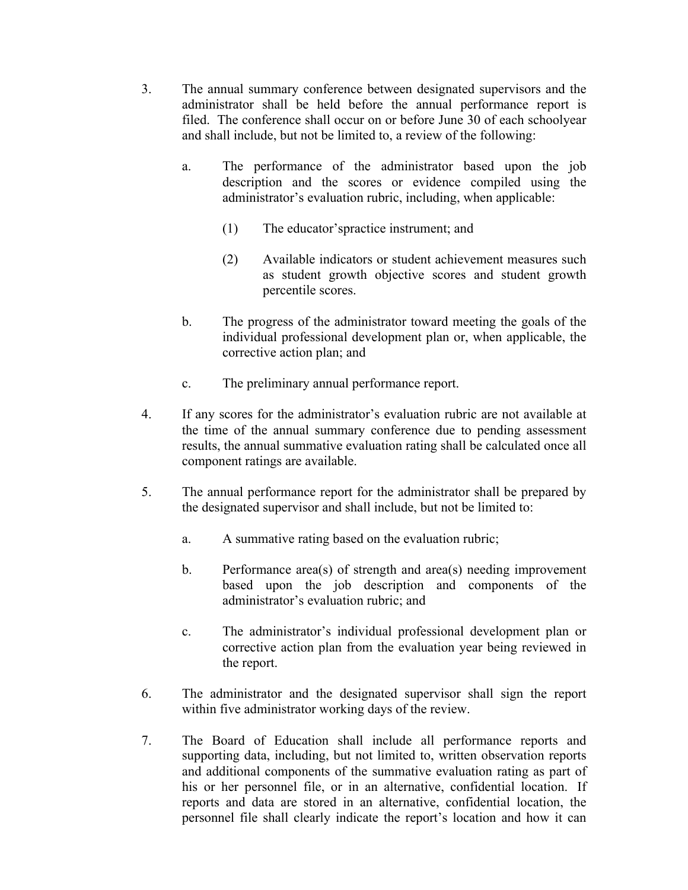- 3. The annual summary conference between designated supervisors and the administrator shall be held before the annual performance report is filed. The conference shall occur on or before June 30 of each schoolyear and shall include, but not be limited to, a review of the following:
	- a. The performance of the administrator based upon the job description and the scores or evidence compiled using the administrator's evaluation rubric, including, when applicable:
		- (1) The educator'spractice instrument; and
		- (2) Available indicators or student achievement measures such as student growth objective scores and student growth percentile scores.
	- b. The progress of the administrator toward meeting the goals of the individual professional development plan or, when applicable, the corrective action plan; and
	- c. The preliminary annual performance report.
- 4. If any scores for the administrator's evaluation rubric are not available at the time of the annual summary conference due to pending assessment results, the annual summative evaluation rating shall be calculated once all component ratings are available.
- 5. The annual performance report for the administrator shall be prepared by the designated supervisor and shall include, but not be limited to:
	- a. A summative rating based on the evaluation rubric;
	- b. Performance area(s) of strength and area(s) needing improvement based upon the job description and components of the administrator's evaluation rubric; and
	- c. The administrator's individual professional development plan or corrective action plan from the evaluation year being reviewed in the report.
- 6. The administrator and the designated supervisor shall sign the report within five administrator working days of the review.
- 7. The Board of Education shall include all performance reports and supporting data, including, but not limited to, written observation reports and additional components of the summative evaluation rating as part of his or her personnel file, or in an alternative, confidential location. If reports and data are stored in an alternative, confidential location, the personnel file shall clearly indicate the report's location and how it can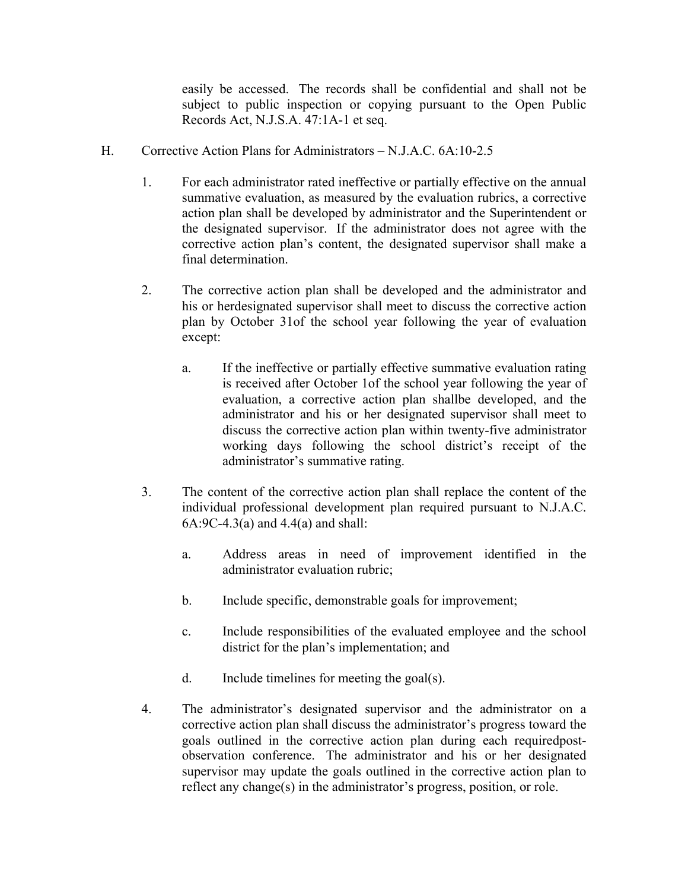easily be accessed. The records shall be confidential and shall not be subject to public inspection or copying pursuant to the Open Public Records Act, N.J.S.A. 47:1A-1 et seq.

- H. Corrective Action Plans for Administrators N.J.A.C. 6A:10-2.5
	- 1. For each administrator rated ineffective or partially effective on the annual summative evaluation, as measured by the evaluation rubrics, a corrective action plan shall be developed by administrator and the Superintendent or the designated supervisor. If the administrator does not agree with the corrective action plan's content, the designated supervisor shall make a final determination.
	- 2. The corrective action plan shall be developed and the administrator and his or herdesignated supervisor shall meet to discuss the corrective action plan by October 31of the school year following the year of evaluation except:
		- a. If the ineffective or partially effective summative evaluation rating is received after October 1of the school year following the year of evaluation, a corrective action plan shallbe developed, and the administrator and his or her designated supervisor shall meet to discuss the corrective action plan within twenty-five administrator working days following the school district's receipt of the administrator's summative rating.
	- 3. The content of the corrective action plan shall replace the content of the individual professional development plan required pursuant to N.J.A.C. 6A:9C-4.3(a) and 4.4(a) and shall:
		- a. Address areas in need of improvement identified in the administrator evaluation rubric;
		- b. Include specific, demonstrable goals for improvement;
		- c. Include responsibilities of the evaluated employee and the school district for the plan's implementation; and
		- d. Include timelines for meeting the goal(s).
	- 4. The administrator's designated supervisor and the administrator on a corrective action plan shall discuss the administrator's progress toward the goals outlined in the corrective action plan during each requiredpostobservation conference. The administrator and his or her designated supervisor may update the goals outlined in the corrective action plan to reflect any change(s) in the administrator's progress, position, or role.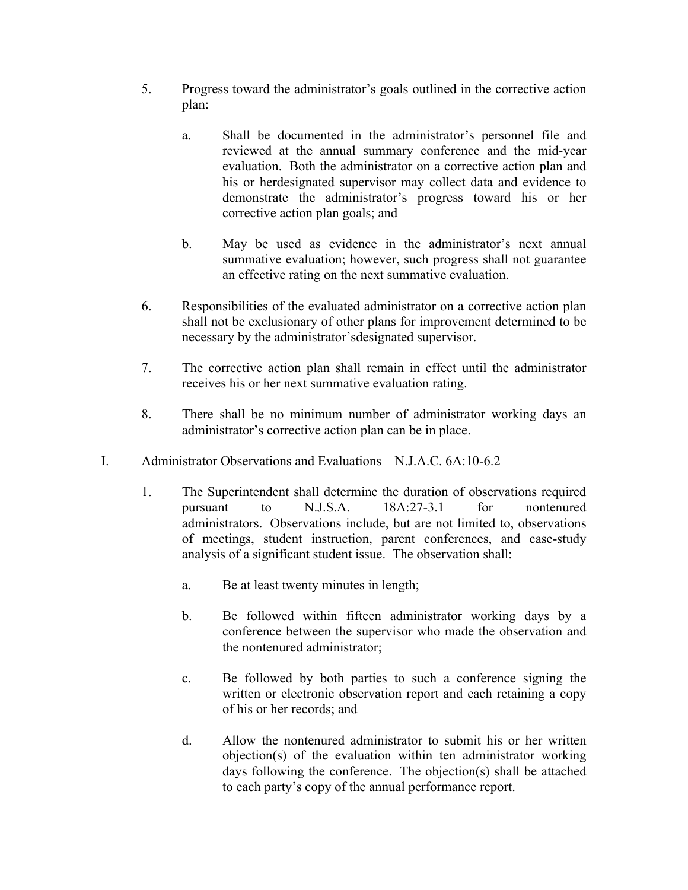- 5. Progress toward the administrator's goals outlined in the corrective action plan:
	- a. Shall be documented in the administrator's personnel file and reviewed at the annual summary conference and the mid-year evaluation. Both the administrator on a corrective action plan and his or herdesignated supervisor may collect data and evidence to demonstrate the administrator's progress toward his or her corrective action plan goals; and
	- b. May be used as evidence in the administrator's next annual summative evaluation; however, such progress shall not guarantee an effective rating on the next summative evaluation.
- 6. Responsibilities of the evaluated administrator on a corrective action plan shall not be exclusionary of other plans for improvement determined to be necessary by the administrator'sdesignated supervisor.
- 7. The corrective action plan shall remain in effect until the administrator receives his or her next summative evaluation rating.
- 8. There shall be no minimum number of administrator working days an administrator's corrective action plan can be in place.
- I. Administrator Observations and Evaluations N.J.A.C. 6A:10-6.2
	- 1. The Superintendent shall determine the duration of observations required pursuant to N.J.S.A. 18A:27-3.1 for nontenured administrators. Observations include, but are not limited to, observations of meetings, student instruction, parent conferences, and case-study analysis of a significant student issue. The observation shall:
		- a. Be at least twenty minutes in length;
		- b. Be followed within fifteen administrator working days by a conference between the supervisor who made the observation and the nontenured administrator;
		- c. Be followed by both parties to such a conference signing the written or electronic observation report and each retaining a copy of his or her records; and
		- d. Allow the nontenured administrator to submit his or her written objection(s) of the evaluation within ten administrator working days following the conference. The objection(s) shall be attached to each party's copy of the annual performance report.